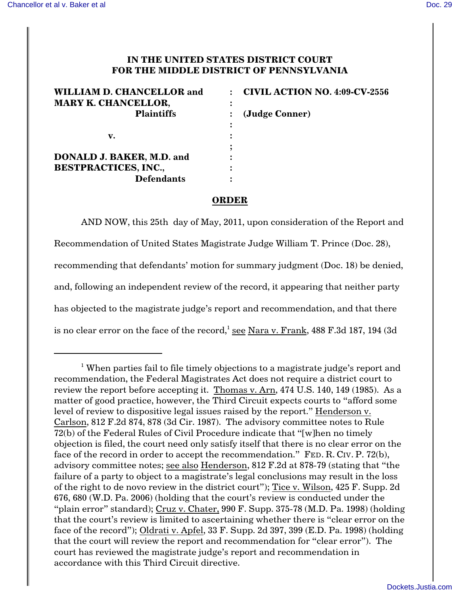## **IN THE UNITED STATES DISTRICT COURT FOR THE MIDDLE DISTRICT OF PENNSYLVANIA**

| <b>WILLIAM D. CHANCELLOR and</b><br><b>MARY K. CHANCELLOR,</b> | <b>CIVIL ACTION NO. 4:09-CV-2556</b><br>$\cdot$ |
|----------------------------------------------------------------|-------------------------------------------------|
| <b>Plaintiffs</b>                                              | (Judge Conner)                                  |
|                                                                |                                                 |
| v.                                                             |                                                 |
|                                                                |                                                 |
| <b>DONALD J. BAKER, M.D. and</b>                               |                                                 |
| <b>BESTPRACTICES, INC.,</b>                                    |                                                 |
| <b>Defendants</b>                                              |                                                 |

## **ORDER**

AND NOW, this 25th day of May, 2011, upon consideration of the Report and Recommendation of United States Magistrate Judge William T. Prince (Doc. 28), recommending that defendants' motion for summary judgment (Doc. 18) be denied, and, following an independent review of the record, it appearing that neither party has objected to the magistrate judge's report and recommendation, and that there is no clear error on the face of the record,<sup>1</sup> see Nara v. Frank,  $488$  F.3d 187, 194 (3d

 $1$  When parties fail to file timely objections to a magistrate judge's report and recommendation, the Federal Magistrates Act does not require a district court to review the report before accepting it. Thomas v. Arn, 474 U.S. 140, 149 (1985). As a matter of good practice, however, the Third Circuit expects courts to "afford some level of review to dispositive legal issues raised by the report." Henderson v. Carlson, 812 F.2d 874, 878 (3d Cir. 1987). The advisory committee notes to Rule 72(b) of the Federal Rules of Civil Procedure indicate that "[w]hen no timely objection is filed, the court need only satisfy itself that there is no clear error on the face of the record in order to accept the recommendation." FED. R. CIV. P. 72(b), advisory committee notes; see also Henderson, 812 F.2d at 878-79 (stating that "the failure of a party to object to a magistrate's legal conclusions may result in the loss of the right to de novo review in the district court"); Tice v. Wilson, 425 F. Supp. 2d 676, 680 (W.D. Pa. 2006) (holding that the court's review is conducted under the "plain error" standard); Cruz v. Chater, 990 F. Supp. 375-78 (M.D. Pa. 1998) (holding that the court's review is limited to ascertaining whether there is "clear error on the face of the record"); Oldrati v. Apfel, 33 F. Supp. 2d 397, 399 (E.D. Pa. 1998) (holding that the court will review the report and recommendation for "clear error"). The court has reviewed the magistrate judge's report and recommendation in accordance with this Third Circuit directive.